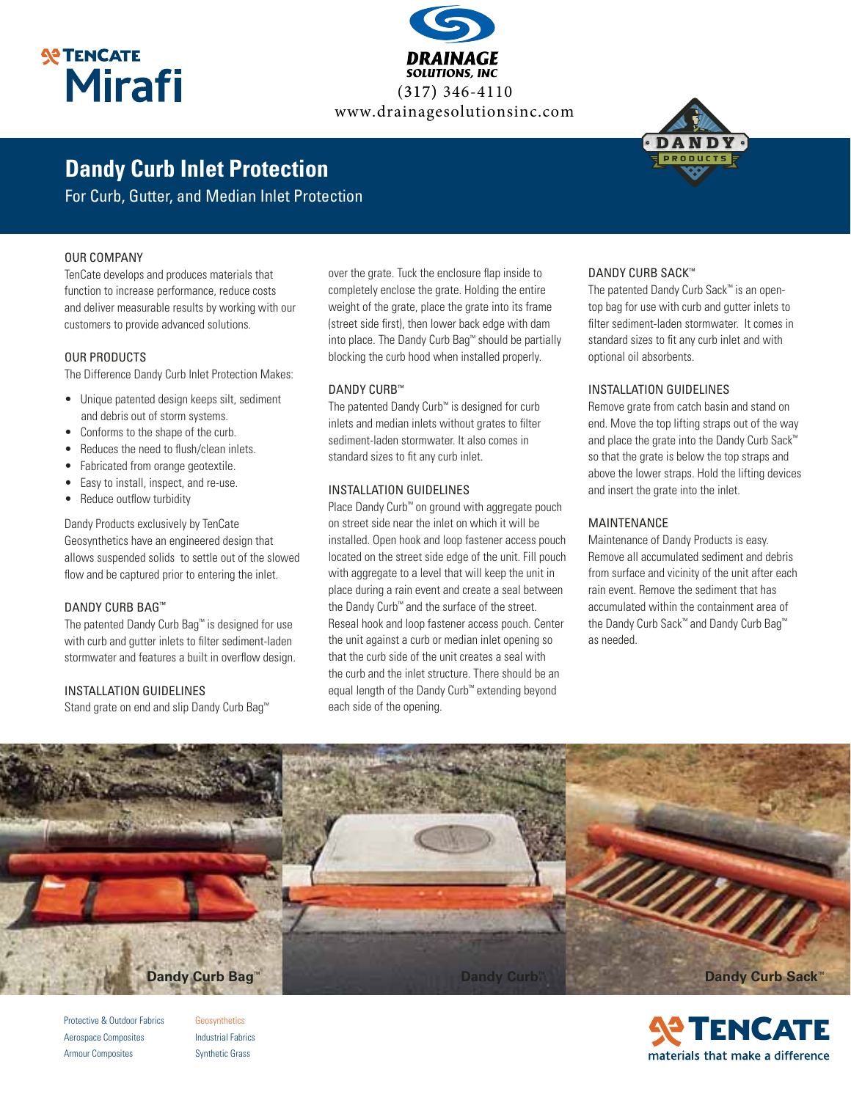## **SP TENCATE Mirafi**



# **Dandy Curb Inlet Protection**

For Curb, Gutter, and Median Inlet Protection

#### OUR COMPANY

TenCate develops and produces materials that function to increase performance, reduce costs and deliver measurable results by working with our customers to provide advanced solutions.

#### OUR PRODUCTS

The Difference Dandy Curb Inlet Protection Makes:

- Unique patented design keeps silt, sediment and debris out of storm systems.
- Conforms to the shape of the curb.
- Reduces the need to flush/clean inlets.
- Fabricated from orange geotextile.
- Easy to install, inspect, and re-use.
- Reduce outflow turbidity

Dandy Products exclusively by TenCate Geosynthetics have an engineered design that allows suspended solids to settle out of the slowed flow and be captured prior to entering the inlet.

#### DANDY CURB BAG™

The patented Dandy Curb Bag™ is designed for use with curb and gutter inlets to filter sediment-laden stormwater and features a built in overflow design.

#### INSTALLATION GUIDELINES

Stand grate on end and slip Dandy Curb Bag™

over the grate. Tuck the enclosure flap inside to completely enclose the grate. Holding the entire weight of the grate, place the grate into its frame (street side first), then lower back edge with dam into place. The Dandy Curb Bag™ should be partially blocking the curb hood when installed properly.

#### DANDY CURB™

The patented Dandy Curb™ is designed for curb inlets and median inlets without grates to filter sediment-laden stormwater. It also comes in standard sizes to fit any curb inlet.

#### INSTALLATION GUIDELINES

Place Dandy Curb™ on ground with aggregate pouch on street side near the inlet on which it will be installed. Open hook and loop fastener access pouch located on the street side edge of the unit. Fill pouch with aggregate to a level that will keep the unit in place during a rain event and create a seal between the Dandy Curb™ and the surface of the street. Reseal hook and loop fastener access pouch. Center the unit against a curb or median inlet opening so that the curb side of the unit creates a seal with the curb and the inlet structure. There should be an equal length of the Dandy Curb™ extending beyond each side of the opening.

#### DANDY CURB SACK™

The patented Dandy Curb Sack™ is an opentop bag for use with curb and gutter inlets to filter sediment-laden stormwater. It comes in standard sizes to fit any curb inlet and with optional oil absorbents.

#### INSTALLATION GUIDELINES

Remove grate from catch basin and stand on end. Move the top lifting straps out of the way and place the grate into the Dandy Curb Sack™ so that the grate is below the top straps and above the lower straps. Hold the lifting devices and insert the grate into the inlet.

#### MAINTENANCE

Maintenance of Dandy Products is easy. Remove all accumulated sediment and debris from surface and vicinity of the unit after each rain event. Remove the sediment that has accumulated within the containment area of the Dandy Curb Sack™ and Dandy Curb Bag™ as needed.



Protective & Outdoor Fabrics Aerospace Composites Armour Composites

**Geosynthetics** Industrial Fabrics Synthetic Grass